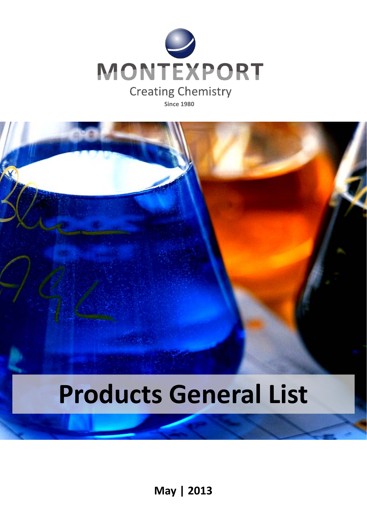

**Since 1980**

# **Products General List**

**May | 2013**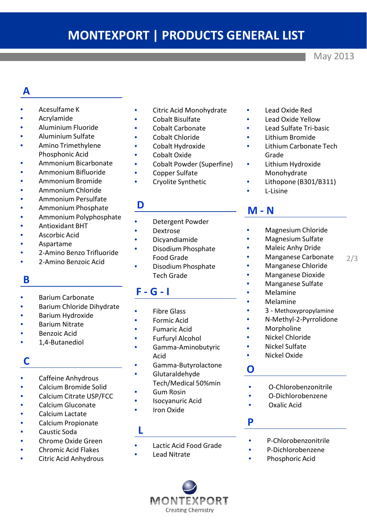# **MONTEXPORT | PRODUCTS GENERAL LIST**

May 2013

# **A**

- Acesulfame K
- Acrylamide
- Aluminium Fluoride
- Aluminium Sulfate
- Amino Trimethylene Phosphonic Acid
- Ammonium Bicarbonate
- Ammonium Bifluoride
- Ammonium Bromide
- Ammonium Chloride
- Ammonium Persulfate
- Ammonium Phosphate
- Ammonium Polyphosphate
- Antioxidant BHT
- Ascorbic Acid
- Aspartame
- 2-Amino Benzo Trifluoride
- 2-Amino Benzoic Acid

# **B**

- Barium Carbonate
- Barium Chloride Dihydrate
- Barium Hydroxide
- Barium Nitrate
- Benzoic Acid
- 1,4-Butanediol

# **C**

- Caffeine Anhydrous
- Calcium Bromide Solid
- Calcium Citrate USP/FCC
- Calcium Gluconate
- Calcium Lactate
- Calcium Propionate
- Caustic Soda
- Chrome Oxide Green
- Chromic Acid Flakes
- **Citric Acid Anhydrous**

### Citric Acid Monohydrate

- Cobalt Bisulfate
- Cobalt Carbonate
- Cobalt Chloride
- Cobalt Hydroxide
- Cobalt Oxide
- Cobalt Powder (Superfine)
- Copper Sulfate
- Cryolite Synthetic

### **D**

- Detergent Powder
- Dextrose
- Dicyandiamide
- Disodium Phosphate Food Grade
- Disodium Phosphate Tech Grade

# **F - G - I**

- **Fibre Glass**
- Formic Acid
- Fumaric Acid
- Furfuryl Alcohol
- Gamma-Aminobutyric Acid
- Gamma-Butyrolactone
- Glutaraldehyde
- Tech/Medical 50%min • Gum Rosin
- Isocyanuric Acid
- **Iron Oxide**

### **L**

- Lactic Acid Food Grade
- **Lead Nitrate**



- Lead Oxide Red
- Lead Oxide Yellow
- Lead Sulfate Tri-basic
- Lithium Bromide
- Lithium Carbonate Tech Grade
- Lithium Hydroxide Monohydrate
- Lithopone (B301/B311)
- L-Lisine

## **M - N**

- Magnesium Chloride
- Magnesium Sulfate
- Maleic Anhy Dride
- 2/3 • Manganese Carbonate
- Manganese Chloride
- Manganese Dioxide
- Manganese Sulfate
- Melamine
- **Melamine**
- 3 Methoxypropylamine
- N-Methyl-2-Pyrrolidone
- **Morpholine**
- Nickel Chloride
- Nickel Sulfate
- Nickel Oxide

### **O**

- O-Chlorobenzonitrile
- O-Dichlorobenzene
- Oxalic Acid

### **P**

- P-Chlorobenzonitrile
- P-Dichlorobenzene
- Phosphoric Acid